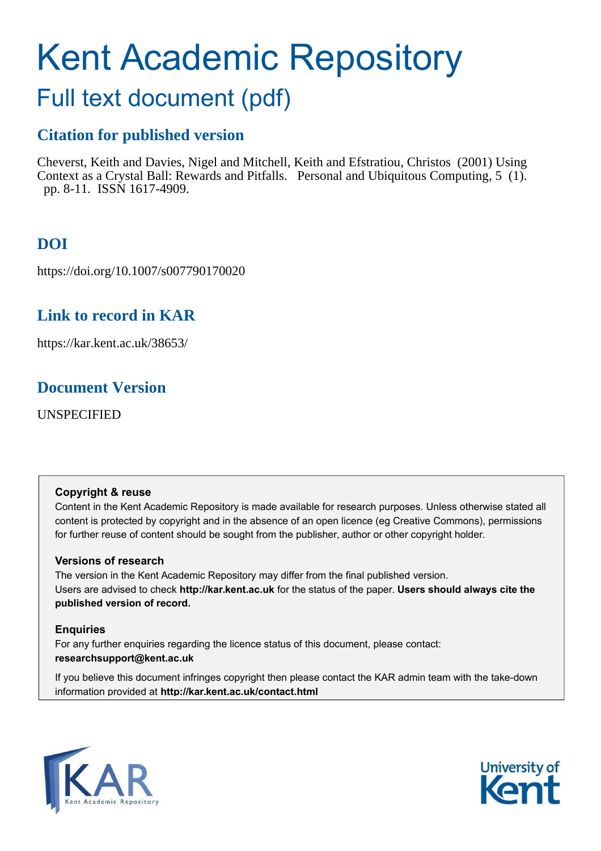# Kent Academic Repository

# Full text document (pdf)

## **Citation for published version**

Cheverst, Keith and Davies, Nigel and Mitchell, Keith and Efstratiou, Christos (2001) Using Context as a Crystal Ball: Rewards and Pitfalls. Personal and Ubiquitous Computing, 5 (1). pp. 8-11. ISSN 1617-4909.

## **DOI**

https://doi.org/10.1007/s007790170020

## **Link to record in KAR**

https://kar.kent.ac.uk/38653/

## **Document Version**

UNSPECIFIED

#### **Copyright & reuse**

Content in the Kent Academic Repository is made available for research purposes. Unless otherwise stated all content is protected by copyright and in the absence of an open licence (eg Creative Commons), permissions for further reuse of content should be sought from the publisher, author or other copyright holder.

#### **Versions of research**

The version in the Kent Academic Repository may differ from the final published version. Users are advised to check **http://kar.kent.ac.uk** for the status of the paper. **Users should always cite the published version of record.**

#### **Enquiries**

For any further enquiries regarding the licence status of this document, please contact: **researchsupport@kent.ac.uk**

If you believe this document infringes copyright then please contact the KAR admin team with the take-down information provided at **http://kar.kent.ac.uk/contact.html**



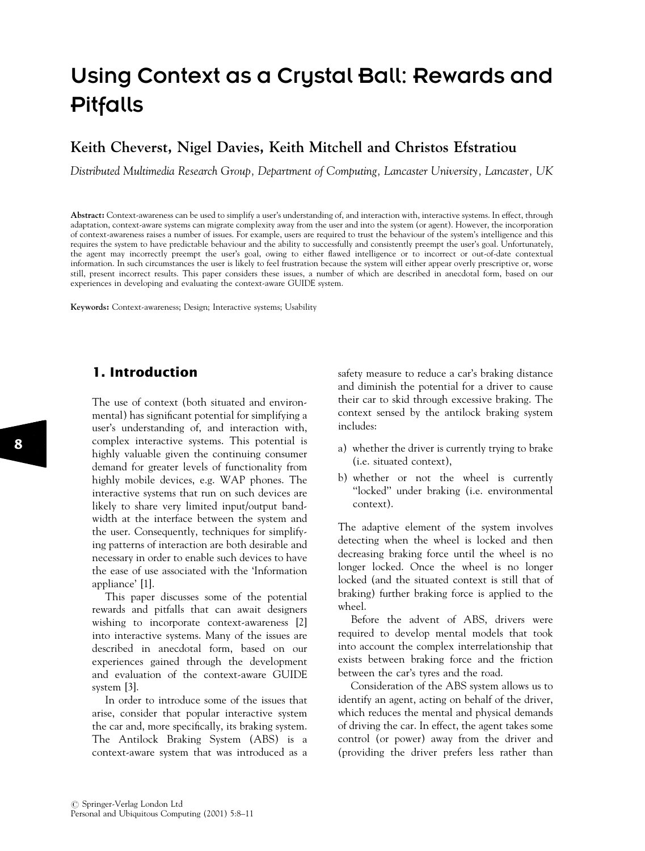## Using Context as a Crystal Ball: Rewards and **Pitfalls**

#### Keith Cheverst, Nigel Davies, Keith Mitchell and Christos Efstratiou

*Distributed Multimedia Research Group, Department of Computing, Lancaster University, Lancaster, UK*

Abstract: Context-awareness can be used to simplify a user's understanding of, and interaction with, interactive systems. In effect, through adaptation, context-aware systems can migrate complexity away from the user and into the system (or agent). However, the incorporation of context-awareness raises a number of issues. For example, users are required to trust the behaviour of the system's intelligence and this requires the system to have predictable behaviour and the ability to successfully and consistently preempt the user's goal. Unfortunately, the agent may incorrectly preempt the user's goal, owing to either flawed intelligence or to incorrect or out-of-date contextual information. In such circumstances the user is likely to feel frustration because the system will either appear overly prescriptive or, worse still, present incorrect results. This paper considers these issues, a number of which are described in anecdotal form, based on our experiences in developing and evaluating the context-aware GUIDE system.

Keywords: Context-awareness; Design; Interactive systems; Usability

#### 1. Introduction

The use of context (both situated and environmental) has significant potential for simplifying a user's understanding of, and interaction with, complex interactive systems. This potential is highly valuable given the continuing consumer demand for greater levels of functionality from highly mobile devices, e.g. WAP phones. The interactive systems that run on such devices are likely to share very limited input/output bandwidth at the interface between the system and the user. Consequently, techniques for simplifying patterns of interaction are both desirable and necessary in order to enable such devices to have the ease of use associated with the 'Information appliance' [1].

This paper discusses some of the potential rewards and pitfalls that can await designers wishing to incorporate context-awareness [2] into interactive systems. Many of the issues are described in anecdotal form, based on our experiences gained through the development and evaluation of the context-aware GUIDE system [3].

In order to introduce some of the issues that arise, consider that popular interactive system the car and, more specifically, its braking system. The Antilock Braking System (ABS) is a context-aware system that was introduced as a safety measure to reduce a car's braking distance and diminish the potential for a driver to cause their car to skid through excessive braking. The context sensed by the antilock braking system includes:

- a) whether the driver is currently trying to brake (i.e. situated context),
- b) whether or not the wheel is currently ''locked'' under braking (i.e. environmental context).

The adaptive element of the system involves detecting when the wheel is locked and then decreasing braking force until the wheel is no longer locked. Once the wheel is no longer locked (and the situated context is still that of braking) further braking force is applied to the wheel.

Before the advent of ABS, drivers were required to develop mental models that took into account the complex interrelationship that exists between braking force and the friction between the car's tyres and the road.

Consideration of the ABS system allows us to identify an agent, acting on behalf of the driver, which reduces the mental and physical demands of driving the car. In effect, the agent takes some control (or power) away from the driver and (providing the driver prefers less rather than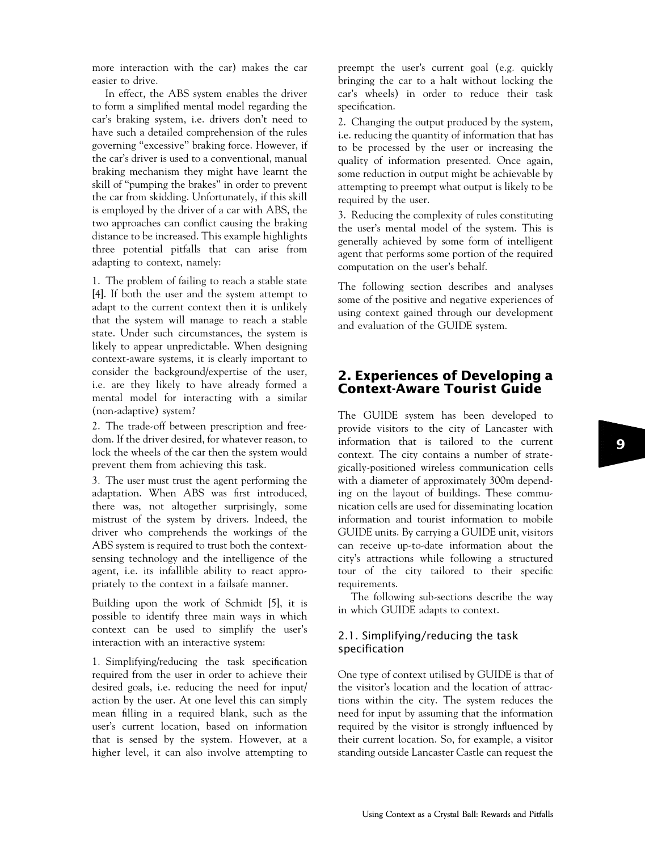more interaction with the car) makes the car easier to drive.

In effect, the ABS system enables the driver to form a simplified mental model regarding the car's braking system, i.e. drivers don't need to have such a detailed comprehension of the rules governing ''excessive'' braking force. However, if the car's driver is used to a conventional, manual braking mechanism they might have learnt the skill of ''pumping the brakes'' in order to prevent the car from skidding. Unfortunately, if this skill is employed by the driver of a car with ABS, the two approaches can conflict causing the braking distance to be increased. This example highlights three potential pitfalls that can arise from adapting to context, namely:

1. The problem of failing to reach a stable state [4]. If both the user and the system attempt to adapt to the current context then it is unlikely that the system will manage to reach a stable state. Under such circumstances, the system is likely to appear unpredictable. When designing context-aware systems, it is clearly important to consider the background/expertise of the user, i.e. are they likely to have already formed a mental model for interacting with a similar (non-adaptive) system?

2. The trade-off between prescription and freedom. If the driver desired, for whatever reason, to lock the wheels of the car then the system would prevent them from achieving this task.

3. The user must trust the agent performing the adaptation. When ABS was first introduced, there was, not altogether surprisingly, some mistrust of the system by drivers. Indeed, the driver who comprehends the workings of the ABS system is required to trust both the contextsensing technology and the intelligence of the agent, i.e. its infallible ability to react appropriately to the context in a failsafe manner.

Building upon the work of Schmidt [5], it is possible to identify three main ways in which context can be used to simplify the user's interaction with an interactive system:

1. Simplifying/reducing the task specification required from the user in order to achieve their desired goals, i.e. reducing the need for input/ action by the user. At one level this can simply mean filling in a required blank, such as the user's current location, based on information that is sensed by the system. However, at a higher level, it can also involve attempting to

preempt the user's current goal (e.g. quickly bringing the car to a halt without locking the car's wheels) in order to reduce their task specification.

2. Changing the output produced by the system, i.e. reducing the quantity of information that has to be processed by the user or increasing the quality of information presented. Once again, some reduction in output might be achievable by attempting to preempt what output is likely to be required by the user.

3. Reducing the complexity of rules constituting the user's mental model of the system. This is generally achieved by some form of intelligent agent that performs some portion of the required computation on the user's behalf.

The following section describes and analyses some of the positive and negative experiences of using context gained through our development and evaluation of the GUIDE system.

#### 2. Experiences of Developing a Context-Aware Tourist Guide

The GUIDE system has been developed to provide visitors to the city of Lancaster with information that is tailored to the current context. The city contains a number of strategically-positioned wireless communication cells with a diameter of approximately 300m depending on the layout of buildings. These communication cells are used for disseminating location information and tourist information to mobile GUIDE units. By carrying a GUIDE unit, visitors can receive up-to-date information about the city's attractions while following a structured tour of the city tailored to their specific requirements.

The following sub-sections describe the way in which GUIDE adapts to context.

#### 2.1. Simplifying/reducing the task specification

One type of context utilised by GUIDE is that of the visitor's location and the location of attractions within the city. The system reduces the need for input by assuming that the information required by the visitor is strongly influenced by their current location. So, for example, a visitor standing outside Lancaster Castle can request the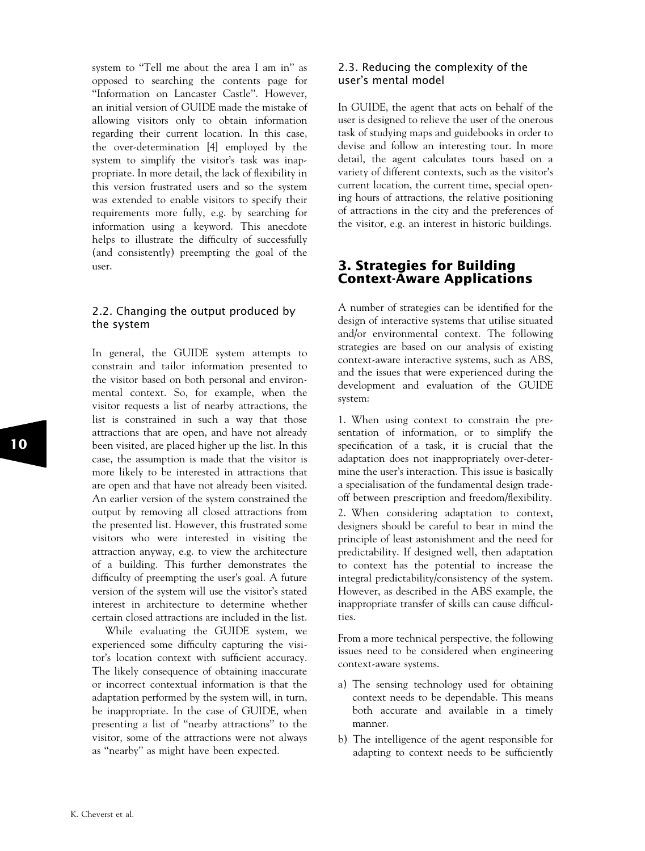system to ''Tell me about the area I am in'' as opposed to searching the contents page for ''Information on Lancaster Castle''. However, an initial version of GUIDE made the mistake of allowing visitors only to obtain information regarding their current location. In this case, the over-determination [4] employed by the system to simplify the visitor's task was inappropriate. In more detail, the lack of flexibility in this version frustrated users and so the system was extended to enable visitors to specify their requirements more fully, e.g. by searching for information using a keyword. This anecdote helps to illustrate the difficulty of successfully (and consistently) preempting the goal of the user.

#### 2.2. Changing the output produced by the system

In general, the GUIDE system attempts to constrain and tailor information presented to the visitor based on both personal and environmental context. So, for example, when the visitor requests a list of nearby attractions, the list is constrained in such a way that those attractions that are open, and have not already been visited, are placed higher up the list. In this case, the assumption is made that the visitor is more likely to be interested in attractions that are open and that have not already been visited. An earlier version of the system constrained the output by removing all closed attractions from the presented list. However, this frustrated some visitors who were interested in visiting the attraction anyway, e.g. to view the architecture of a building. This further demonstrates the difficulty of preempting the user's goal. A future version of the system will use the visitor's stated interest in architecture to determine whether certain closed attractions are included in the list.

While evaluating the GUIDE system, we experienced some difficulty capturing the visitor's location context with sufficient accuracy. The likely consequence of obtaining inaccurate or incorrect contextual information is that the adaptation performed by the system will, in turn, be inappropriate. In the case of GUIDE, when presenting a list of ''nearby attractions'' to the visitor, some of the attractions were not always as ''nearby'' as might have been expected.

#### 2.3. Reducing the complexity of the user's mental model

In GUIDE, the agent that acts on behalf of the user is designed to relieve the user of the onerous task of studying maps and guidebooks in order to devise and follow an interesting tour. In more detail, the agent calculates tours based on a variety of different contexts, such as the visitor's current location, the current time, special opening hours of attractions, the relative positioning of attractions in the city and the preferences of the visitor, e.g. an interest in historic buildings.

#### 3. Strategies for Building Context-Aware Applications

A number of strategies can be identified for the design of interactive systems that utilise situated and/or environmental context. The following strategies are based on our analysis of existing context-aware interactive systems, such as ABS, and the issues that were experienced during the development and evaluation of the GUIDE system:

1. When using context to constrain the presentation of information, or to simplify the specification of a task, it is crucial that the adaptation does not inappropriately over-determine the user's interaction. This issue is basically a specialisation of the fundamental design tradeoff between prescription and freedom/flexibility.

2. When considering adaptation to context, designers should be careful to bear in mind the principle of least astonishment and the need for predictability. If designed well, then adaptation to context has the potential to increase the integral predictability/consistency of the system. However, as described in the ABS example, the inappropriate transfer of skills can cause difficulties.

From a more technical perspective, the following issues need to be considered when engineering context-aware systems.

- a) The sensing technology used for obtaining context needs to be dependable. This means both accurate and available in a timely manner.
- b) The intelligence of the agent responsible for adapting to context needs to be sufficiently